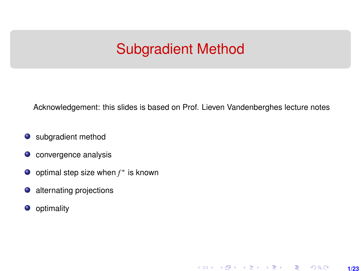## Subgradient Method

<span id="page-0-0"></span>Acknowledgement: this slides is based on Prof. Lieven Vandenberghes lecture notes

**1/23**

 $299$ 

メロト メタト メミト メミト 一毛

- **O** subgradient method
- **o** convergence analysis
- optimal step size when *f* <sup>∗</sup> is known
- alternating projections
- **o** optimality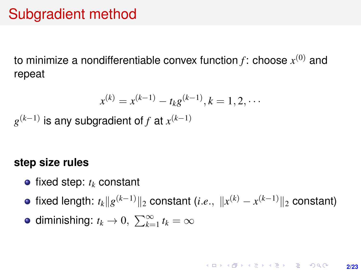## Subgradient method

to minimize a nondifferentiable convex function  $f$ : choose  $x^{(0)}$  and repeat

$$
x^{(k)} = x^{(k-1)} - t_k g^{(k-1)}, k = 1, 2, \cdots
$$

*g* (*k*−1) is any subgradient of *f* at *x* (*k*−1)

#### **step size rules**

- $\bullet$  fixed step:  $t_k$  constant
- fixed length:  $t_k\|g^{(k-1)}\|_2$  constant (*i.e.*,  $\|x^{(k)} x^{(k-1)}\|_2$  constant)
- diminishing:  $t_k \to 0$ ,  $\sum_{k=1}^{\infty} t_k = \infty$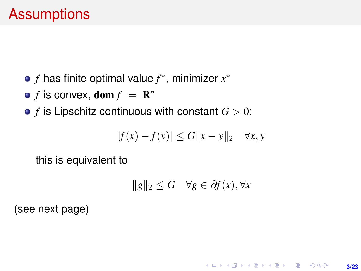- *f* has finite optimal value *f* ∗ , minimizer *x* ∗
- $f$  is convex,  $\textbf{dom} f = \mathbf{R}^n$
- $\bullet$  *f* is Lipschitz continuous with constant  $G > 0$ :

$$
|f(x) - f(y)| \le G||x - y||_2 \quad \forall x, y
$$

this is equivalent to

$$
||g||_2 \le G \quad \forall g \in \partial f(x), \forall x
$$

**3/23**

**KORKARK (EXIST) E MOOR** 

(see next page)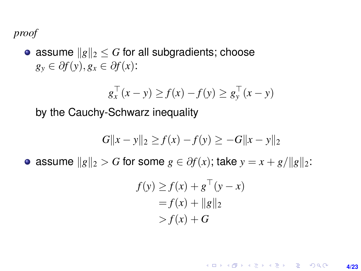#### *proof*

• assume  $\|g\|_2 \leq G$  for all subgradients; choose  $g_y \in \partial f(y), g_x \in \partial f(x)$ :

$$
g_x^\top(x-y) \ge f(x) - f(y) \ge g_y^\top(x-y)
$$

by the Cauchy-Schwarz inequality

$$
G||x - y||_2 \ge f(x) - f(y) \ge -G||x - y||_2
$$

 $\bullet$  assume  $||g||_2 > G$  for some *g* ∈ ∂*f*(*x*); take  $y = x + g/||g||_2$ :

$$
f(y) \ge f(x) + g^{\top}(y - x)
$$
  
=  $f(x) + ||g||_2$   
>  $f(x) + G$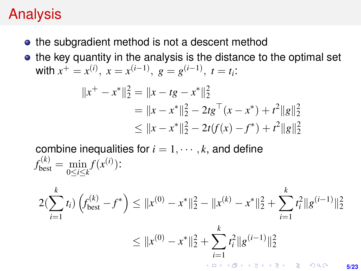# Analysis

- the subgradient method is not a descent method
- the key quantity in the analysis is the distance to the optimal set with  $x^+ = x^{(i)}$ ,  $x = x^{(i-1)}$ ,  $g = g^{(i-1)}$ ,  $t = t_i$ :

$$
||x^{+} - x^{*}||_{2}^{2} = ||x - tg - x^{*}||_{2}^{2}
$$
  
=  $||x - x^{*}||_{2}^{2} - 2tg^{\top}(x - x^{*}) + t^{2}||g||_{2}^{2}$   
 $\leq ||x - x^{*}||_{2}^{2} - 2t(f(x) - f^{*}) + t^{2}||g||_{2}^{2}$ 

combine inequalities for  $i = 1, \dots, k$ , and define  $f_{\text{best}}^{(k)} = \min_{0 \le i \le k} f(x^{(i)})$ :

$$
2\left(\sum_{i=1}^{k} t_i\right) \left(f_{\text{best}}^{(k)} - f^*\right) \le ||x^{(0)} - x^*||_2^2 - ||x^{(k)} - x^*||_2^2 + \sum_{i=1}^{k} t_i^2 ||g^{(i-1)}||_2^2
$$
  

$$
\le ||x^{(0)} - x^*||_2^2 + \sum_{i=1}^{k} t_i^2 ||g^{(i-1)}||_2^2
$$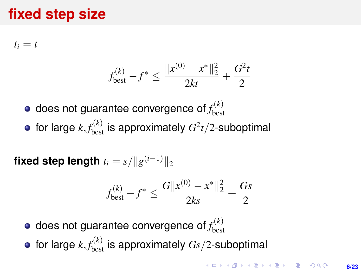## **fixed step size**

 $t_i = t$ 

$$
f_{\text{best}}^{(k)} - f^* \le \frac{\|x^{(0)} - x^*\|_2^2}{2kt} + \frac{G^2t}{2}
$$

- does not guarantee convergence of  $f_{\rm bes}^{(k)}$ best
- for large  $k, f_{\text{best}}^{(k)}$  is approximately  $G^2t/2$ -suboptimal

 $\boldsymbol{\mathsf{fixed}}$  step length  $t_i = s / \| g^{(i-1)} \|_2$ 

$$
f_{\text{best}}^{(k)} - f^* \le \frac{G||x^{(0)} - x^*||_2^2}{2ks} + \frac{Gs}{2}
$$

- does not guarantee convergence of  $f_{\rm bes}^{(k)}$ best
- for large  $k, f_{\rm best}^{(k)}$  is approximately  $\emph{Gs}/2$ -suboptimal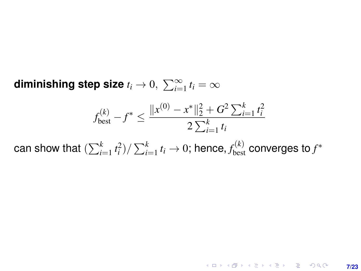diminishing step size  $t_i \rightarrow 0, \; \sum_{i=1}^{\infty} t_i = \infty$ 

$$
f_{\text{best}}^{(k)} - f^* \le \frac{\|x^{(0)} - x^*\|_2^2 + G^2 \sum_{i=1}^k t_i^2}{2 \sum_{i=1}^k t_i}
$$

can show that  $(\sum_{i=1}^k t_i^2)/\sum_{i=1}^k t_i \rightarrow 0;$  hence,  $f_{\text{best}}^{(k)}$  converges to  $f^*$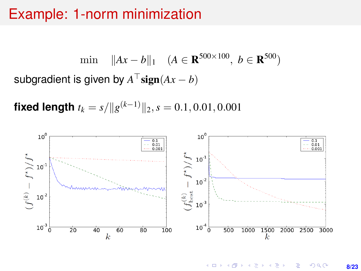### Example: 1-norm minimization

min  $||Ax - b||_1$  (*A* ∈ **R**<sup>500×100</sup>, *b* ∈ **R**<sup>500</sup>) subgradient is given by  $A^\top \mathbf{sign}(Ax-b)$ 

**fixed length**  $t_k = s / \|g^{(k-1)}\|_2, s = 0.1, 0.01, 0.001$ 

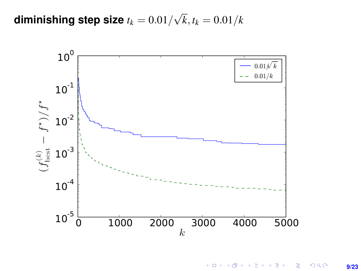${\sf diminishing\ step\ size\ }t_k=0.01/$ √  $k, t_k = 0.01/k$ 



K ロ ▶ K @ ▶ K 할 > K 할 > 1 할 > 1 이익어 **9/23**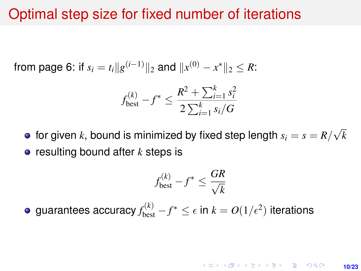### Optimal step size for fixed number of iterations

from page 6: if  $s_i = t_i ||g^{(i-1)}||_2$  and  $||x^{(0)} - x^*||_2 \leq R$ :

$$
f_{\text{best}}^{(k)} - f^* \le \frac{R^2 + \sum_{i=1}^k s_i^2}{2 \sum_{i=1}^k s_i / G}
$$

for given  $k$ , bound is minimized by fixed step length  $s_i = s = R / \frac{1}{k}$ √ *k* **•** resulting bound after *k* steps is

$$
f_{\text{best}}^{(k)} - f^* \le \frac{GR}{\sqrt{k}}
$$

guarantees accuracy  $f_{\text{best}}^{(k)} - f^* \leq \epsilon$  in  $k = O(1/\epsilon^2)$  iterations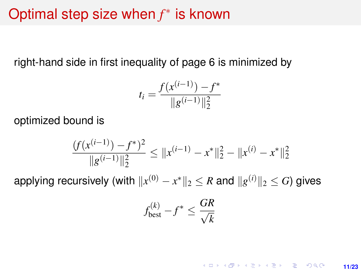# Optimal step size when *f* ∗ is known

right-hand side in first inequality of page 6 is minimized by

$$
t_i = \frac{f(x^{(i-1)}) - f^*}{\|g^{(i-1)}\|_2^2}
$$

optimized bound is

$$
\frac{(f(x^{(i-1)}) - f^*)^2}{\|g^{(i-1)}\|_2^2} \le \|x^{(i-1)} - x^*\|_2^2 - \|x^{(i)} - x^*\|_2^2
$$

applying recursively (with  $\|x^{(0)} - x^*\|_2 \leq R$  and  $\|g^{(i)}\|_2 \leq G$ ) gives

$$
f_{\text{best}}^{(k)} - f^* \leq \frac{GR}{\sqrt{k}}
$$

**KORKARKKERK E VAN 11/23**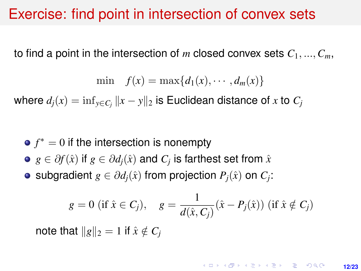### Exercise: find point in intersection of convex sets

to find a point in the intersection of *m* closed convex sets  $C_1, ..., C_m$ ,

$$
\min \quad f(x) = \max\{d_1(x), \cdots, d_m(x)\}\
$$

where  $d_j(x) = \inf_{y \in C_j} \|x - y\|_2$  is Euclidean distance of  $x$  to  $C_j$ 

- $f^* = 0$  if the intersection is nonempty
- $g\in\partial f(\hat x)$  if  $g\in\partial d_j(\hat x)$  and  $C_j$  is farthest set from  $\hat x$
- subgradient  $g \in \partial d_j(\hat{x})$  from projection  $P_j(\hat{x})$  on  $C_j$ :

$$
g = 0
$$
 (if  $\hat{x} \in C_j$ ),  $g = \frac{1}{d(\hat{x}, C_j)} (\hat{x} - P_j(\hat{x}))$  (if  $\hat{x} \notin C_j$ )

note that  $\|g\|_2 = 1$  if  $\hat{x} \notin C_i$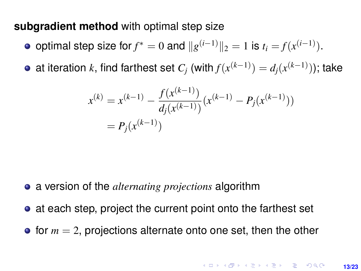#### <span id="page-12-0"></span>**subgradient method** with optimal step size

- optimal step size for  $f^* = 0$  and  $||g^{(i-1)}||_2 = 1$  is  $t_i = f(x^{(i-1)})$ .
- at iteration *k*, find farthest set  $C_j$  (with  $f(x^{(k-1)}) = d_j(x^{(k-1)})$ ); take

$$
x^{(k)} = x^{(k-1)} - \frac{f(x^{(k-1)})}{d_j(x^{(k-1)})}(x^{(k-1)} - P_j(x^{(k-1)}))
$$
  
=  $P_j(x^{(k-1)})$ 

- a version of the *alternating projections* algorithm
- at each step, project the current point onto the farthest set
- $\bullet$  for  $m = 2$ , projections alternate onto one set, then the other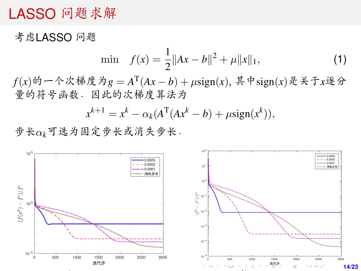### <span id="page-13-0"></span>LASSO <sup>问</sup>题求<sup>解</sup>

<sup>考</sup>虑LASSO <sup>问</sup>题

$$
\min \quad f(x) = \frac{1}{2} \|Ax - b\|^2 + \mu \|x\|_1,\tag{1}
$$

*<sup>f</sup>*(*x*)的一个次梯度为*<sup>g</sup>* <sup>=</sup> *<sup>A</sup>* T (*Ax* − *b*) + µsign(*x*), 其中sign(*x*)是关于*x*逐分 <sup>量</sup>的符号函数.因此的次梯度算法<sup>为</sup>

$$
x^{k+1} = x^k - \alpha_k (A^{\mathrm{T}}(Ax^k - b) + \mu \text{sign}(x^k)),
$$

步长α*k*可选为固定步长或消失步长.

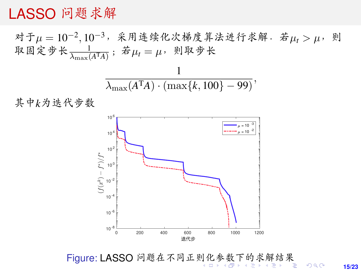### <span id="page-14-0"></span>LASSO <sup>问</sup>题求<sup>解</sup>

对于 $\mu = 10^{-2}$ ,  $10^{-3}$ , 采用连续化次梯度算法进行求解. 若 $\mu_t > \mu$ , 则<br>取固定步长 <u>| 1</u> | 若μ − μ, 则取步长 取固定步长 $\frac{1}{\lambda_{\max}(A^{T}A)}$ ; 若 $\mu_{t} = \mu$ , 则取步长

$$
\frac{1}{\lambda_{\max}(A^{\mathrm{T}}A)\cdot(\max\{k,100\}-99)},
$$

<sup>其</sup>中*k*为迭代步<sup>数</sup>



Figure: LASSO <sup>问</sup>题在不同正[则](#page-13-0)[化参](#page-15-0)[数](#page-14-0)[下](#page-15-0)[的](#page-0-0)[求](#page-22-0)[解](#page-0-0)[结](#page-22-0)[果](#page-0-0)

**15/23**

 $2990$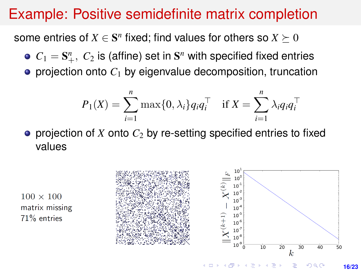## <span id="page-15-0"></span>Example: Positive semidefinite matrix completion

some entries of  $X \in \mathbf{S}^n$  fixed; find values for others so  $X \succeq 0$ 

- $C_1 = \mathbf{S}_{+}^n$ ,  $C_2$  is (affine) set in  $\mathbf{S}^n$  with specified fixed entries
- $\bullet$  projection onto  $C_1$  by eigenvalue decomposition, truncation

$$
P_1(X) = \sum_{i=1}^n \max\{0, \lambda_i\} q_i q_i^\top \quad \text{if } X = \sum_{i=1}^n \lambda_i q_i q_i^\top
$$

**•** projection of *X* onto  $C_2$  by re-setting specified entries to fixed values



 $100 \times 100$ matrix missing 71% entries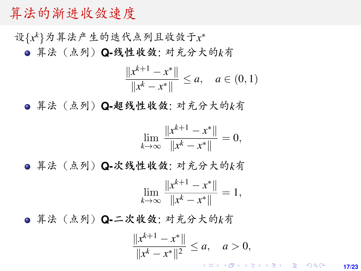#### 算法的渐进收敛速<sup>度</sup>

设{x<sup>k</sup>}为算法产生的迭代点列且收敛于x<sup>\*</sup>

算法(点列)**Q-**线性收敛: <sup>对</sup>充分大的*k*<sup>有</sup>

$$
\frac{\|x^{k+1} - x^*\|}{\|x^k - x^*\|} \le a, \quad a \in (0, 1)
$$

算法(点列)**Q-**超线性收敛: <sup>对</sup>充分大的*k*<sup>有</sup>

$$
\lim_{k \to \infty} \frac{\|x^{k+1} - x^*\|}{\|x^k - x^*\|} = 0,
$$

算法(点列)**Q-**次线性收敛: <sup>对</sup>充分大的*k*<sup>有</sup>

$$
\lim_{k \to \infty} \frac{\|x^{k+1} - x^*\|}{\|x^k - x^*\|} = 1,
$$

算法(点列)**Q-**二次收敛: <sup>对</sup>充分大的*k*<sup>有</sup>

$$
\frac{\|x^{k+1} - x^*\|}{\|x^k - x^*\|^2} \le a, \quad a > 0,
$$

**17/23**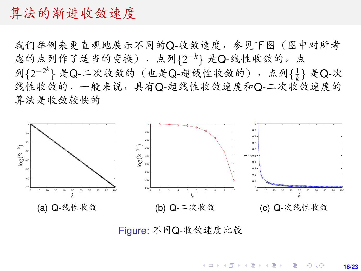#### <span id="page-17-0"></span>算法的渐进收敛速<sup>度</sup>

我们举例来更直观地展示不同的Q-收敛速度,参见下图(图中对所<sup>考</sup> 虑的点列作了适当的变换).点列{2<sup>-k</sup>} 是Q-线性收敛的,点<br>列12-2<sup>k</sup>l 是O-二次收敛的 (也是O-超线性收敛的), 占列11 列{2<sup>-2k</sup>} 是Q-二次收敛的 (也是Q-超线性收敛的), 点列{1} 是Q-次<br>线性收敛的, 一般来说, 且有O-超线性收敛谏度和O-二次收敛谏度的 <sup>线</sup>性收敛的.一般来说,具有Q-超线性收敛速度和Q-二次收敛速度<sup>的</sup> 算法是收敛较快<sup>的</sup>



Figure: <sup>不</sup>同Q-收敛速度比<sup>较</sup>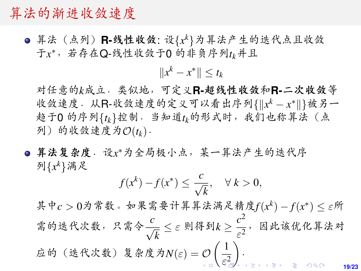#### <span id="page-18-0"></span>算法的渐进收敛速<sup>度</sup>

算法(点列)R-线性收敛: 设{xk}为算法产生的迭代点且收敛<br>于以,若存在O-线性收敛于O的非负序列t,并且 于*x* <sup>∗</sup>,若存在Q-线性收敛于0 的非负序列*tk*并且

 $||x^k - x^*|| \le t_k$ 

<sup>对</sup>任意的*k*成立.类似地,可定义**R-**超线性收敛和**R-**二次收敛等 收敛速度. 从R-收敛速度的定义可以看出序列{||xk − x\*||}被另一 <sup>趋</sup>于<sup>0</sup> <sup>的</sup>序列{*tk*}控制.当知道*tk*的形式时,我们也称算法(<sup>点</sup>  $\mathcal{D}(f_k)$ ) 的收敛速度为 $\mathcal{O}(t_k)$ .

算法复杂度. 设x\*为全局极小点,某一算法产生的迭代序 列{*x <sup>k</sup>*}满足

$$
f(x^k) - f(x^*) \le \frac{c}{\sqrt{k}}, \quad \forall \ k > 0,
$$

其中*c* > 0为常数。如果需要计算算法满足精度*f*(*x*<sup>k</sup>) - *f*(*x*<sup>\*</sup>) ≤ ε所 <sup>需</sup>的迭代次数,只需<sup>令</sup> *c* √  $\frac{1}{k} \leq \varepsilon$  则得到 $k \geq \frac{c^2}{\varepsilon^2}$  $\frac{c}{\varepsilon^2}$ ,因此该优化算法对  $\dot{\varpi}$ 的(迭代次数)复杂度为 $N(\varepsilon) = \mathcal{O}\left(\frac{1}{\varepsilon^2}\right)$  $\varepsilon_{\text{\tiny F}}^2$  $\varepsilon_{\text{\tiny F}}^2$  $\big)$ .

**19/23**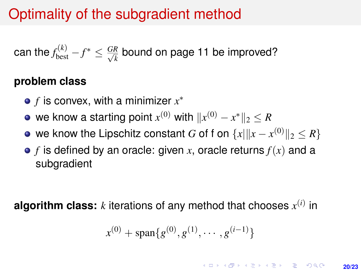# <span id="page-19-0"></span>Optimality of the subgradient method

can the 
$$
f_{\text{best}}^{(k)} - f^* \leq \frac{GR}{\sqrt{k}}
$$
 bound on page 11 be improved?

#### **problem class**

- *f* is convex, with a minimizer *x* ∗
- we know a starting point  $x^{(0)}$  with  $\|x^{(0)} x^*\|_2 \leq R$
- we know the Lipschitz constant  $G$  of f on  $\{x| \|x-x^{(0)}\|_2 \leq R\}$
- $\bullet$  *f* is defined by an oracle: given *x*, oracle returns  $f(x)$  and a subgradient

**algorithm class:**  $k$  iterations of any method that chooses  $x^{(i)}$  in

$$
x^{(0)} + \text{span}\{g^{(0)}, g^{(1)}, \cdots, g^{(i-1)}\}
$$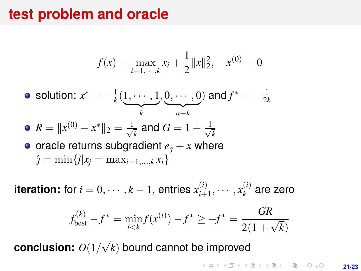### **test problem and oracle**

$$
f(x) = \max_{i=1,\dots,k} x_i + \frac{1}{2} ||x||_2^2, \quad x^{(0)} = 0
$$

• solution: 
$$
x^* = -\frac{1}{k}(\underbrace{1, \cdots, 1}_{k}, \underbrace{0, \cdots, 0}_{n-k})
$$
 and  $f^* = -\frac{1}{2k}$ 

• 
$$
R = ||x^{(0)} - x^*||_2 = \frac{1}{\sqrt{k}}
$$
 and  $G = 1 + \frac{1}{\sqrt{k}}$ 

• oracle returns subgradient  $e_{\hat{i}} + x$  where  $\hat{j} = \min\{j|x_i = \max_{i=1,\dots,k} x_i\}$ 

**iteration:** for  $i = 0, \dots, k - 1$ , entries  $x_{i+1}^{(i)}$  $x_{i+1}^{(i)}, \cdots, x_k^{(i)}$  $k^{(t)}$  are zero

$$
f_{\text{best}}^{(k)} - f^* = \min_{i < k} f(x^{(i)}) - f^* \ge -f^* = \frac{GR}{2(1 + \sqrt{k})}
$$

**conclusion:** *O*(1/ √ *k*) bound cannot be improved

> **KORKAR KERKER E DAG 21/23**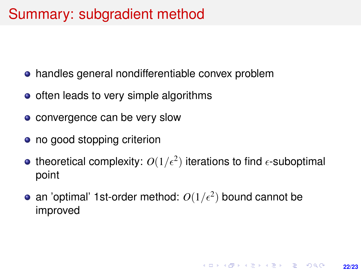## Summary: subgradient method

- handles general nondifferentiable convex problem
- $\bullet$  often leads to very simple algorithms
- convergence can be very slow
- no good stopping criterion
- theoretical complexity:  $O(1/\epsilon^2)$  iterations to find  $\epsilon$ -suboptimal point
- an 'optimal' 1st-order method:  $O(1/\epsilon^2)$  bound cannot be improved